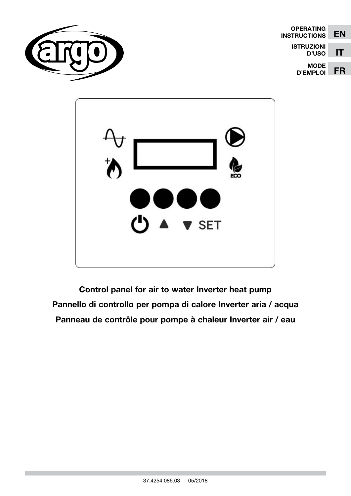

| <b>OPERATING</b><br><b>INSTRUCTIONS</b> | EN |
|-----------------------------------------|----|
| <b>ISTRUZIONI</b><br><b>D'USO</b>       | IT |
| <b>MODE</b><br><b>D'EMPLOI</b>          | FR |



Control panel for air to water Inverter heat pump Pannello di controllo per pompa di calore Inverter aria / acqua Panneau de contrôle pour pompe à chaleur Inverter air / eau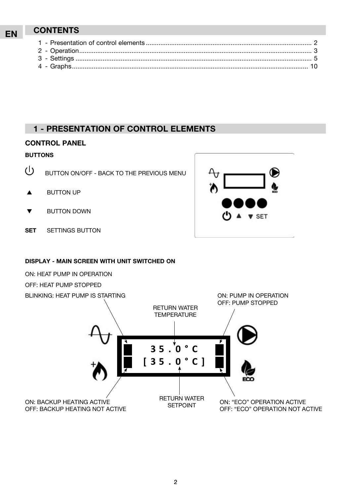# EN CONTENTS

# 1 - Presentation of control elements

### **CONTROL PANEL**

#### BUTTONS

- $\mathcal{L}$ BUTTON ON/OFF - BACK TO THE PREVIOUS MENU
- $\triangle$  BUTTON UP
- **BUTTON DOWN**
- SET SETTINGS BUTTON

# DISPLAY - MAIN SCREEN WITH UNIT SWITCHED ON



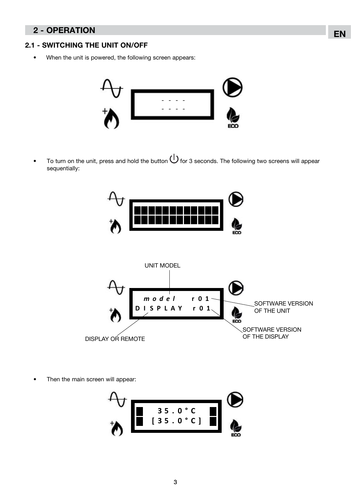# EN 2 - OPERATION

#### 2.1 - SWITCHING THE UNIT ON/OFF

• When the unit is powered, the following screen appears:



To turn on the unit, press and hold the button  $\bigcup$  for 3 seconds. The following two screens will appear sequentially:



Then the main screen will appear:



3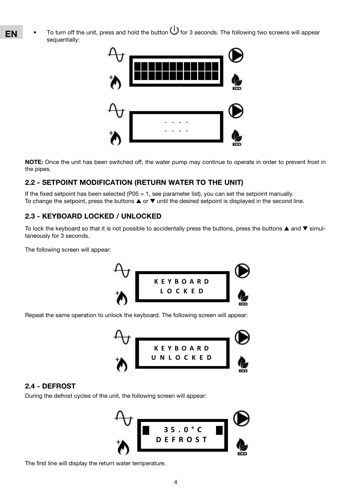To turn off the unit, press and hold the button  $\bigcup$  for 3 seconds. The following two screens will appear sequentially:



NOTE: Once the unit has been switched off, the water pump may continue to operate in order to prevent frost in the pipes.

### 2.2 - SETPOINT MODIFICATION (RETURN WATER TO THE UNIT)

If the fixed setpoint has been selected (P05 = 1, see parameter list), you can set the setpoint manually. To change the setpoint, press the buttons  $\blacktriangle$  or  $\nabla$  until the desired setpoint is displayed in the second line.

### 2.3 - KEYBOARD LOCKED / UNLOCKED

To lock the keyboard so that it is not possible to accidentally press the buttons, press the buttons  $\blacktriangle$  and  $\nabla$  simultaneously for 3 seconds.

The following screen will appear:



Repeat the same operation to unlock the keyboard. The following screen will appear:



#### 2.4 - DEFROST

During the defrost cycles of the unit, the following screen will appear:



The first line will display the return water temperature.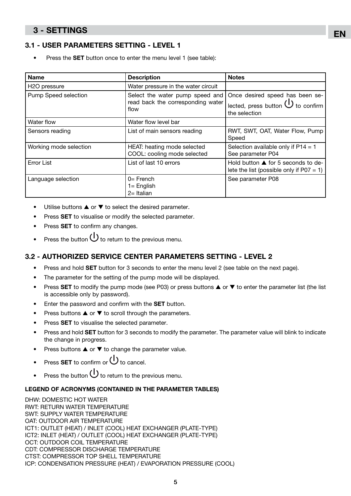# 3 - SETTINGS

### 3.1 - USER PARAMETERS SETTING - LEVEL 1

Press the **SET** button once to enter the menu level 1 (see table):

| <b>Name</b>               | <b>Description</b>                                                           | <b>Notes</b>                                                                                  |
|---------------------------|------------------------------------------------------------------------------|-----------------------------------------------------------------------------------------------|
| H <sub>2</sub> O pressure | Water pressure in the water circuit                                          |                                                                                               |
| Pump Speed selection      | Select the water pump speed and<br>read back the corresponding water<br>flow | Once desired speed has been se-<br>lected, press button $\bigcup$ to confirm<br>the selection |
| Water flow                | Water flow level bar                                                         |                                                                                               |
| Sensors reading           | List of main sensors reading                                                 | RWT, SWT, OAT, Water Flow, Pump<br>Speed                                                      |
| Working mode selection    | HEAT: heating mode selected<br>COOL: cooling mode selected                   | Selection available only if $P14 = 1$<br>See parameter P04                                    |
| <b>Error List</b>         | List of last 10 errors                                                       | Hold button ▲ for 5 seconds to de-<br>lete the list (possible only if $P07 = 1$ )             |
| Language selection        | $0=$ French<br>$1 =$ English<br>$2=$ Italian                                 | See parameter P08                                                                             |

- Utilise buttons  $\blacktriangle$  or  $\nabla$  to select the desired parameter.
- Press **SET** to visualise or modify the selected parameter.
- Press **SET** to confirm any changes.
- Press the button  $\bigcup$  to return to the previous menu.

### 3.2 - authorized service center parameters setting - LEVEL 2

- Press and hold **SET** button for 3 seconds to enter the menu level 2 (see table on the next page).
- The parameter for the setting of the pump mode will be displayed.
- Press SET to modify the pump mode (see P03) or press buttons  $\triangle$  or  $\nabla$  to enter the parameter list (the list is accessible only by password).
- Enter the password and confirm with the **SET** button.
- Press buttons  $\blacktriangle$  or  $\nabla$  to scroll through the parameters.
- Press SET to visualise the selected parameter.
- Press and hold SET button for 3 seconds to modify the parameter. The parameter value will blink to indicate the change in progress.
- Press buttons  $\blacktriangle$  or  $\nabla$  to change the parameter value.
- Press **SET** to confirm or  $\bigcup$  to cancel.
- Press the button  $\bigcup$  to return to the previous menu.

#### LEGEND OF ACRONYMS (CONTAINED IN THE PARAMETER TABLES)

DHW: DOMESTIC HOT WATER RWT: RETURN WATER TEMPERATURE SWT: SUPPLY WATER TEMPERATURE OAT: OUTDOOR AIR TEMPERATURE ICT1: OUTLET (HEAT) / INLET (COOL) HEAT EXCHANGER (PLATE-TYPE) ICT2: INLET (HEAT) / OUTLET (COOL) HEAT EXCHANGER (PLATE-TYPE) OCT: OUTDOOR COIL TEMPERATURE CDT: COMPRESSOR DISCHARGE TEMPERATURE CTST: COMPRESSOR TOP SHELL TEMPERATURE ICP: CONDENSATION PRESSURE (HEAT) / EVAPORATION PRESSURE (COOL)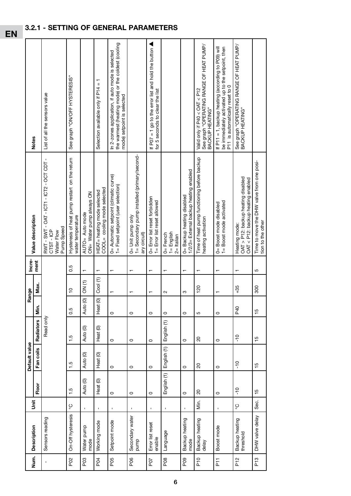| Num.            | <b>Description</b>          | 言              |                     | Default value            |                  |                                | Range             | Incre-                   | Value description                                                                        | <b>Notes</b>                                                                                                                               |
|-----------------|-----------------------------|----------------|---------------------|--------------------------|------------------|--------------------------------|-------------------|--------------------------|------------------------------------------------------------------------------------------|--------------------------------------------------------------------------------------------------------------------------------------------|
|                 |                             |                | Floor               | Fan coils                | <b>Radiators</b> | Šin.                           | Max.              | ment                     |                                                                                          |                                                                                                                                            |
| $\mathbf I$     | Sensors reading             |                |                     |                          | Read only        |                                |                   |                          | RWT-SWT-OAT-ICT1-ICT2-OCTCDT-<br>Pump Speed<br>CTST-ICP<br>Water Flow                    | List of all the sensors value                                                                                                              |
| P <sub>02</sub> | On-Off hysteresis           | ပွ             | 1.5                 | 1.5                      | 1.5              | 0.5                            | $\frac{1}{2}$     | 0.5                      | Hysteresis of heat pump restart on the return<br>water temperature                       | See graph "ON/OFF HYSTERESIS"                                                                                                              |
| PO <sub>3</sub> | Water pump<br>mode          | $\mathbf{I}$   | Auto (0)            | Auto (0)                 | Auto (0)         | $\widehat{\mathsf{e}}$<br>Auto | ON <sub>(1)</sub> | $\overline{\phantom{0}}$ | ON= Water pump always ON<br>AUTO= Auto mode                                              |                                                                                                                                            |
| PQ4             | Working mode                | $\mathbf{I}$   | Heat <sub>(0)</sub> | Heat (0)                 | Heat (0)         | $\overline{0}$<br>Heat         | Cool(1)           | $\mathbf{r}$             | COOL= cooling mode selected<br>HEAT= heating mode selected                               | Selection available only if P14 = 1                                                                                                        |
| PO <sub>5</sub> | Setpoint mode               | $\mathbf{I}$   | $\circ$             | $\circ$                  | $\circ$          | $\circ$                        |                   | $\blacksquare$           | 0= Automatic setpoint (climatic curve)<br>1= Fixed setpoint (user selection)             | the warmest (heating mode) or the coldest (cooling<br>In 2-zones application, if auto mode is selected<br>mode) setpoint is selected       |
| PO <sub>6</sub> | Secondary water<br>pump     | $\mathbf{I}$   | $\circ$             | $\circ$                  | $\circ$          | $\circ$                        |                   |                          | 1= Secondary pump installed (primary/second-<br>0= Unit pump only<br>ary circuit)        |                                                                                                                                            |
| FO <sub>7</sub> | Error list reset<br>enable  | I.             | $\circ$             | $\circ$                  | $\circ$          | $\circ$                        | ᠇                 | $\blacksquare$           | Error list reset forbidden<br>1= Error list reset allowed<br>$\overline{d}$              | If P07 = 1 go to the error list and hold the button<br>for 5 seconds to clear the list                                                     |
| P <sub>08</sub> | Language                    | $\mathbf I$    | English (1)         | English (1)              | English (1)      | $\circ$                        | $\sim$            |                          | $1 =$ English<br>0= French<br>$2 = Italian$                                              |                                                                                                                                            |
| PO <sub>3</sub> | Backup heating<br>mode      | $\mathbf{I}$   | $\circ$             | $\circ$                  | $\circ$          | $\circ$                        | ω                 |                          | 1/2/3= External backup heating enabled<br>0= Backup heating disabled                     |                                                                                                                                            |
| $\frac{1}{2}$   | Backup heating<br>delay     | Μiη.           | $\overline{c}$      | $\overline{\mathcal{S}}$ | $\overline{c}$   | 5                              | 120               | ᠇                        | Time of heat pump functioning before backup<br>heating activation                        | See graph "OPERATING RANGE OF HEAT PUMP/<br>Valid only if $P40 < OAT < P12$<br>BACKUP HEATING"                                             |
| $F_1$           | Boost mode                  | $\blacksquare$ | $\circ$             | $\circ$                  | $\circ$          | $\circ$                        |                   |                          | 1= Boost mode activated<br>0= Boost mode disabled                                        | be immediately activated up to the setpoint, then<br>If P11 = 1, backup heating (according to P09) will<br>P11 is automatically reset to 0 |
| P <sub>12</sub> | Backup heating<br>threshold | ပ္စ            | ٥ŗ                  | ں<br>-                   | $-10$            | D <sub>40</sub>                | $+35$             |                          | OAT > P12: backup heating disabled<br>OAT < P12: backup heating enabled<br>Heating mode: | See graph "OPERATING RANGE OF HEAT PUMP/<br>BACKUP HEATING"                                                                                |
| P <sub>13</sub> | DHW valve delay             | Sec.           | $\frac{5}{1}$       | $\frac{15}{1}$           | $\frac{5}{1}$    | 15                             | 300               | 5                        | Time to move the DHW valve from one posi-<br>tion to the other                           |                                                                                                                                            |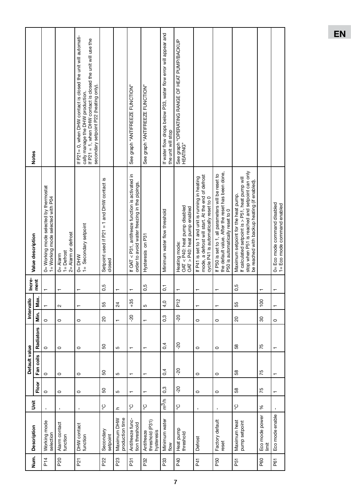|                 |                                             |                           |                 | Default value |                  |                          | Intervallo     | Incre-          |                                                                                                                                                                                          |                                                                                                                                                                                                             |
|-----------------|---------------------------------------------|---------------------------|-----------------|---------------|------------------|--------------------------|----------------|-----------------|------------------------------------------------------------------------------------------------------------------------------------------------------------------------------------------|-------------------------------------------------------------------------------------------------------------------------------------------------------------------------------------------------------------|
| Num.            | <b>Description</b>                          | $\ddot{\bar{\mathbf{s}}}$ | Floor           | Fan coils     | <b>Radiators</b> | Min.                     | Max.           | ment            | Value description                                                                                                                                                                        | <b>Notes</b>                                                                                                                                                                                                |
| P <sub>14</sub> | Working mode<br>selection                   | $\mathbf{I}$              | $\circ$         | $\circ$       | $\circ$          | $\circ$                  | $\overline{r}$ |                 | 0= Working mode selected by thermostat<br>1= Working mode selected with P04                                                                                                              |                                                                                                                                                                                                             |
| P <sub>20</sub> | Alarm contact<br>function                   | $\mathbf{I}$              | $\circ$         | $\circ$       | $\circ$          | $\circ$                  | $\sim$         |                 | 2= Alarm or defrost<br>$1 =$ Defrost<br>$0 =$ Alarm                                                                                                                                      |                                                                                                                                                                                                             |
| P <sub>21</sub> | DHW contact<br>function                     | $\mathbf I$               | $\circ$         | $\circ$       | $\circ$          | $\circ$                  | ↽              | ٣               | 1= Secondary setpoint<br>$0 = DHW$                                                                                                                                                       | If P21= 0, when DHW contact is closed the unit will automati-<br>If P21 = 1, when DHW contact is closed the unit will use the<br>secondary setpoint P22 (heating only).<br>cally manage the DHW production. |
| P22             | Secondary<br>setpoint                       | ပ္စ                       | SO              | SO            | 50               | $\overline{c}$           | 55             | 0,5             | Setpoint used if P21 = 1 and DHW contact is<br>closed                                                                                                                                    |                                                                                                                                                                                                             |
| P23             | production time<br>Maximum DHW              | $\mathbf{C}$              | 5               | 5             | 5                | $\overline{\phantom{0}}$ | $\overline{c}$ | $\mathbf{\tau}$ |                                                                                                                                                                                          |                                                                                                                                                                                                             |
| P31             | Antifreeze func-<br>tion threshold          | ပွ                        | $\blacksquare$  | ┯             | $\blacksquare$   | $-20$                    | $+35$          |                 | If OAT < P31, antifreeze function is activated in<br>order to avoid water freezing in the pipings.                                                                                       | See graph "ANTIFREEZE FUNCTION"                                                                                                                                                                             |
| P32             | threshold (P31)<br>Antifreeze<br>hysteresis | ပ္င                       | $\mathbf{r}$    | ↽             | $\mathbf -$      | ↽                        | 5              | 0,5             | Hysteresis on P31                                                                                                                                                                        | See graph "ANTIFREEZE FUNCTION"                                                                                                                                                                             |
| P <sub>33</sub> | Minimum water<br>flow                       | m <sup>3</sup> m          | 0,3             | 0,4           | 0,4              | 0,3                      | 4,0            | $\overline{0}$  | Minimum water flow threshold                                                                                                                                                             | If water flow drops below P33, water flow error will appear and<br>the unit will stop                                                                                                                       |
| P <sub>40</sub> | Heat pump<br>threshold                      | ပ္င                       | $-20$           | $-20$         | $-20$            | 20                       | $\frac{2}{5}$  |                 | OAT < P40: heat pump disabled<br>OAT > P40: heat pump enabled<br>Heating mode:                                                                                                           | See graph "OPERATING RANGE OF HEAT PUMP/BACKUP<br>HEATING"                                                                                                                                                  |
| P41             | Defrost                                     | $\mathbf{I}$              | $\circ$         | $\circ$       | $\circ$          | $\circ$                  | $\blacksquare$ |                 | mode, a defrost will start. At the end of defrost<br>If P41 is set to 1 and unit is running in heating<br>cycle P41 is automatically reset to 0                                          |                                                                                                                                                                                                             |
| P50             | Factory default<br>reset                    | $\mathbf{I}$              | $\circ$         | $\circ$       | $\circ$          | $\circ$                  | ↽              |                 | the default value. After the reset has been done,<br>If P50 is set to 1, all parameters will be reset to<br>P50 is automatically reset to 0                                              |                                                                                                                                                                                                             |
| P51             | Maximum heat<br>pump setpoint               | ပ္စ                       | 38              | 58            | 58               | $\overline{c}$           | 55             | 0,5             | stop when P51 is reached and setpoint can only<br>If calculated setpoint is > P51, heat pump will<br>be reached with backup heating (if enabled).<br>Maximum setpoint for the heat pump. |                                                                                                                                                                                                             |
| P60             | Eco mode power<br>limit                     | $\%$                      | 75              | 75            | 75               | 80                       | 100            |                 |                                                                                                                                                                                          |                                                                                                                                                                                                             |
| P61             | Eco mode enable                             |                           | $\mathbf{\tau}$ |               |                  | $\circ$                  | ↽              |                 | 0= Eco mode command disabled<br>1= Eco mode command enabled                                                                                                                              |                                                                                                                                                                                                             |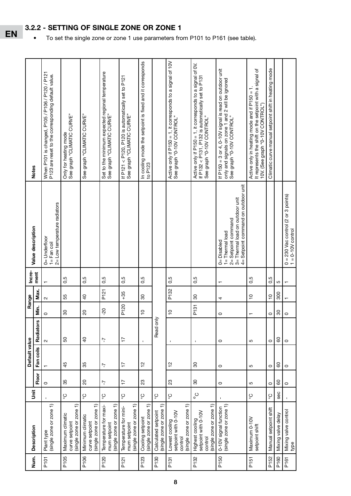|                  |                                                                              |            |                       | Default value |                  |                  |                |                |                                                                        |                                                                                                                                                 |
|------------------|------------------------------------------------------------------------------|------------|-----------------------|---------------|------------------|------------------|----------------|----------------|------------------------------------------------------------------------|-------------------------------------------------------------------------------------------------------------------------------------------------|
| Num.             | <b>Description</b>                                                           | $\ddot{5}$ |                       |               |                  |                  | Range          | Incre-<br>ment | Value description                                                      | <b>Notes</b>                                                                                                                                    |
|                  |                                                                              |            | Floor                 | Fan coils     | <b>Radiators</b> | Мin.             | Max.           |                |                                                                        |                                                                                                                                                 |
| P <sub>101</sub> | Plant type                                                                   |            | $\circ$               |               | $\sim$           | $\circ$          | $\sim$         |                | 0= Underfloor                                                          | When P101 is changed, P105 / P106 / P120 / P121                                                                                                 |
|                  | (single zone or zone 1)                                                      |            |                       |               |                  |                  |                |                | 2= Low temperature radiators<br>$1 = Fan coil$                         | P123 are reset to the corresponding default value.                                                                                              |
|                  |                                                                              |            |                       |               |                  |                  |                |                |                                                                        |                                                                                                                                                 |
| P105             | (single zone or zone 1)<br>Maximum climatic<br>curve setpoint                | ပ္င        | 35                    | 45            | 50               | 80               | 55             | 0,5            |                                                                        | See graph "CLIMATIC CURVE"<br>Only for heating mode                                                                                             |
| P106             | Minimum climatic                                                             | ပွ         | $\overline{c}$        | 35            | $\overline{a}$   | $\overline{6}$   | $\overline{a}$ | 0,5            |                                                                        | See graph "CLIMATIC CURVE"                                                                                                                      |
|                  | (single zone or zone 1)<br>curve setpoint                                    |            |                       |               |                  |                  |                |                |                                                                        |                                                                                                                                                 |
| P120             | Temperature for maxi-                                                        | ပ္ပ        | 7                     | 7             | 7                | 20               | P121           | 0,5            |                                                                        | Set to the minimum expected regional temperature                                                                                                |
|                  | (single zone or zone 1)<br>mum setpoint                                      |            |                       |               |                  |                  |                |                |                                                                        | See graph "CLIMATIC CURVE"                                                                                                                      |
| P <sub>121</sub> | Temperature for mini-                                                        | ပ္စ        | $\overline{1}$        | $\ddot{}$     | $\overline{1}$   | P <sub>120</sub> | $+35$          | 0,5            |                                                                        | If P121 < P120, P120 is automatically set to P121<br>See graph "CLIMATIC CURVE"                                                                 |
|                  | (single zone or zone 1)<br>mum setpoint                                      |            |                       |               |                  |                  |                |                |                                                                        |                                                                                                                                                 |
| P123             | (single zone or zone 1)<br>Cooling setpoint                                  | ပ္စ        | 23                    | $\tilde{c}$   | $\mathbf I$      | $\frac{1}{2}$    | 80             | 0,5            |                                                                        | In cooling mode the setpoint is fixed and it corresponds<br>to P123                                                                             |
| P130             | (single zone or zone 1)<br>Calculated setpoint                               | ပ္င        |                       |               | Read only        |                  |                |                |                                                                        |                                                                                                                                                 |
| P131             | Lowest cooling                                                               | ပ္ပ        | 23                    | $\frac{1}{2}$ | $\mathbf{I}$     | $\frac{1}{2}$    | P132           | 0,5            |                                                                        | Active only if P150 = 1, it corresponds to a signal of 10V<br>See graph "0-10V CONTROL"                                                         |
|                  | setpoint with 0-10V<br>control                                               |            |                       |               |                  |                  |                |                |                                                                        |                                                                                                                                                 |
|                  | (single zone or zone 1)                                                      |            |                       |               |                  |                  |                |                |                                                                        |                                                                                                                                                 |
| P132             | (single zone or zone 1)<br>setpoint with 0-10V<br>Highest cooling<br>control | ွ<br>。     | $\mathcal{S}^{\circ}$ | 80            | $\mathbf I$      | P131             | 80             | 0,5            |                                                                        | Active only if P150 = 1, it corresponds to a signal of $0V$ .<br>If P132 < P131, P132 is automatically set to P131<br>See graph "0-10V CONTROL" |
| P <sub>150</sub> | 0-10V signal function                                                        |            | $\circ$               | $\circ$       | $\circ$          | $\circ$          | 4              | ↽              | $0 = Disableed$                                                        | If P150 = 3 or 4, 0-10V signal is read on outdoor unit                                                                                          |
|                  | (single zone or zone 1)                                                      |            |                       |               |                  |                  |                |                | 2= Setpoint command<br>1= Thermal load                                 | only and signals on zone 1 and 2 will be ignored<br>See graph "0-10V CONTROL"                                                                   |
|                  |                                                                              |            |                       |               |                  |                  |                |                | 4= Setpoint command on outdoor unit<br>3= Thermal load on outdoor unit |                                                                                                                                                 |
| P151             | Maximum 0-10V<br>setpoint shift                                              | ပ္စ        | 5                     | 5             | 5                | ↽                | $\frac{1}{2}$  | 0,5            |                                                                        | It represents the shift on the setpoint with a signal of<br>Active only in heating mode and if P150 = 1.<br>10V. (See graph "0-10V CONTROL")    |
| P152             | Manual setpoint shift                                                        | ပ္ပ        | 0                     | $\circ$       | $\circ$          | 0                | ٥Ļ             | 0,5            |                                                                        | Climatic curve manual setpoint shift in heating mode                                                                                            |
| P160             | Mixing valve delay                                                           | sec        | 60                    | 8             | 60               | SO               | 300            | 5              |                                                                        |                                                                                                                                                 |
| P161             | Mixing valve control<br>type                                                 |            | $\circ$               | $\circ$       | $\circ$          | $\circ$          |                |                | 0 = 230 Vac control (2 or 3 points)<br>1 = 0-10V control               |                                                                                                                                                 |

# 3.2.2 - SETTING OF SINGLE ZONE OR ZONE 1

• To set the single zone or zone 1 use parameters from P101 to P161 (see table).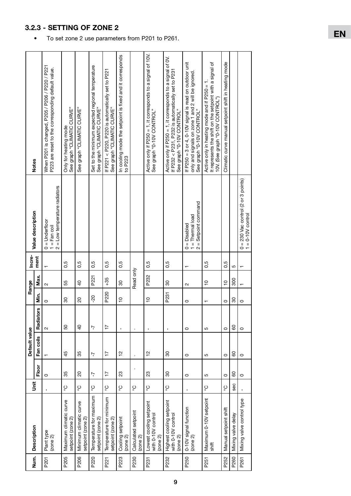|      |                                                                |              |                | Default value |                  |               | Range                 | Incre- |                                                                                                 |                                                                                                                                                    |
|------|----------------------------------------------------------------|--------------|----------------|---------------|------------------|---------------|-----------------------|--------|-------------------------------------------------------------------------------------------------|----------------------------------------------------------------------------------------------------------------------------------------------------|
| Num. | <b>Description</b>                                             | ii<br>5      | Floor          | Fan coils     | <b>Radiators</b> | Nin.          | Max.                  | ment   | Value description                                                                               | <b>Notes</b>                                                                                                                                       |
| P201 | Plant type<br>(zone 2)                                         | $\mathbf{I}$ | $\circ$        |               | $\sim$           | $\circ$       | $\sim$                |        | = Low temperature radiators<br>= Underfloor<br>$1 = \text{Fan coil}$<br>$\circ$<br>$\sim$       | When P201 is changed, P205 / P206 / P220 / P221<br>P223 are reset to the corresponding default value.                                              |
| P205 | Maximum climatic curve<br>setpoint (zone 2)                    | ပွ           | 35             | 45            | SO               | 80            | 55                    | 0,5    |                                                                                                 | See graph "CLIMATIC CURVE"<br>Only for heating mode                                                                                                |
| P206 | Minimum climatic curve<br>setpoint (zone 2)                    | ပွ           | 20             | 35            | $\overline{a}$   | 20            | $\overline{6}$        | 0,5    |                                                                                                 | See graph "CLIMATIC CURVE"                                                                                                                         |
| P220 | Temperature for maximum<br>setpoint (zone 2)                   | ပ္စ          | 7              | 7             | $\overline{1}$   | 20            | P221                  | 0,5    |                                                                                                 | Set to the minimum expected regional temperature<br>See graph "CLIMATIC CURVE"                                                                     |
| P221 | Temperature for minimum<br>setpoint (zone 2)                   | ပ္စ          | $\overline{1}$ | $\ddot{ }$    | $\overline{1}$   | P220          | $+35$                 | 0,5    |                                                                                                 | If P221 < P220, P220 is automatically set to P221<br>See graph "CLIMATIC CURVE"                                                                    |
| P223 | Cooling setpoint<br>(20n e 2)                                  | ပ္င          | 23             | $\frac{1}{2}$ | $\mathbf{I}$     | $\frac{1}{2}$ | $\mathcal{S}^{\circ}$ | 0,5    |                                                                                                 | In cooling mode the setpoint is fixed and it corresponds<br>to P223                                                                                |
| P230 | Calculated setpoint<br>$(2$ one $2)$                           | ပွ           |                |               | ı                |               | Read only             |        |                                                                                                 |                                                                                                                                                    |
| P231 | Lowest cooling setpoint<br>with 0-10V control<br>$(2$ one $2)$ | ပ္င          | 23             | $\frac{2}{1}$ | $\mathbf{I}$     | င္            | P232                  | 0,5    |                                                                                                 | Active only if P250 = 1, it corresponds to a signal of 10V.<br>See graph "0-10V CONTROL"                                                           |
| P232 | Highest cooling setpoint<br>with 0-10V control<br>(20n e 2)    | ပ္စ          | 30             | 80            | $\mathbf I$      | P231          | 80                    | 0,5    |                                                                                                 | Active only if $P250 = 1$ , it corresponds to a signal of $0V$ .<br>If P232 < P231, P232 is automatically set to P231<br>See graph "0-10V CONTROL" |
| P250 | 0-10V signal function<br>(20n e 2)                             | ı            | $\circ$        | $\circ$       | $\circ$          | $\circ$       | $\sim$                |        | Setpoint command<br>$1 = Thermal$ load<br>$0 = Disabled$<br>$\ensuremath{\mathsf{H}}$<br>$\sim$ | If P250 = 3 or 4, 0-10V signal is read on outdoor unit<br>only and signals on zone 1 and 2 will be ignored.<br>See graph "0-10V CONTROL"           |
| P251 | Maximum 0-10V setpoint<br>shift                                | ပ္စ          | 5              | 5             | 5                | ↽             | $\frac{1}{2}$         | 0,5    |                                                                                                 | It represents the shift on the setpoint with a signal of<br>Active only in heating mode and if P250 = 1<br>10V. (See graph "0-10V CONTROL")        |
| P252 | Manual setpoint shift                                          | ပွ           | $\circ$        | $\circ$       | $\circ$          | $\circ$       | $\frac{1}{2}$         | 0,5    |                                                                                                 | Climatic curve manual setpoint shift in heating mode                                                                                               |
| P260 | Mixing valve delay                                             | <b>Sec</b>   | 60             | 8             | 8                | 80            | 300                   | 5      |                                                                                                 |                                                                                                                                                    |
| P261 | Mixing valve control type                                      |              | $\circ$        | $\circ$       | $\circ$          | $\circ$       |                       |        | 0 = 230 Vac control (2 or 3 points)<br>1 = 0-10V control                                        |                                                                                                                                                    |

### 3.2.3 - SETTING OF ZONE 2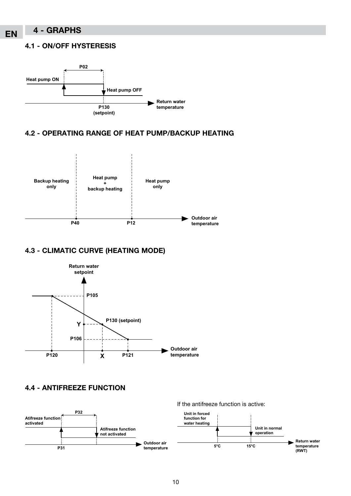# EN 4 - GRAPHS

#### 4.1 - ON/OFF HYSTERESIS



## 4.2 - OPERATING RANGE OF HEAT PUMP/BACKUP HEATING



# 4.3 - CLIMATIC CURVE (HEATING MODE)



4.4 - ANTIFREEZE FUNCTION

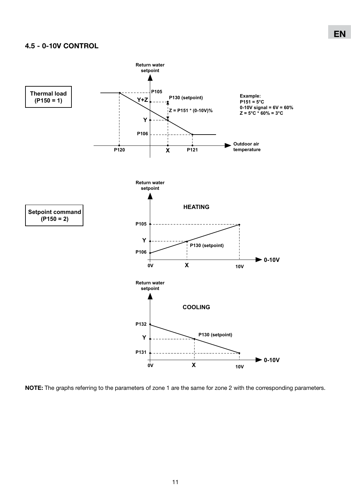#### 4.5 - 0-10V CONTROL



NOTE: The graphs referring to the parameters of zone 1 are the same for zone 2 with the corresponding parameters.